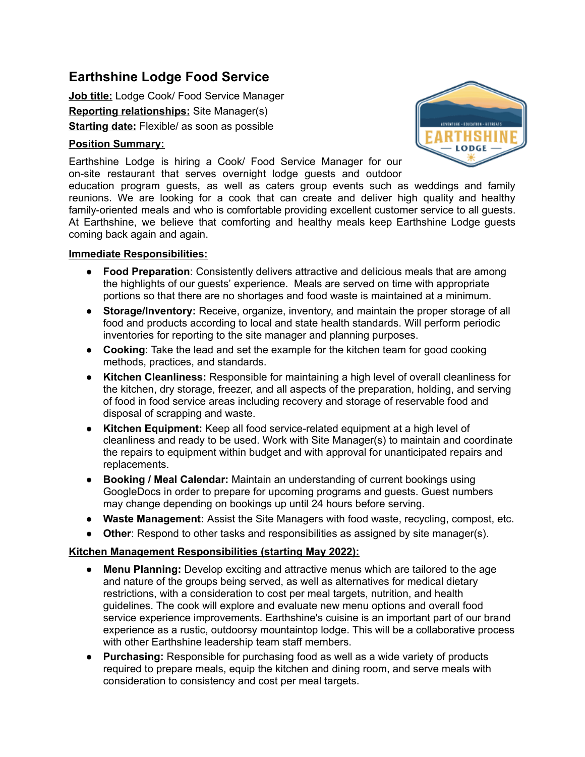# **Earthshine Lodge Food Service**

**Job title:** Lodge Cook/ Food Service Manager **Reporting relationships:** Site Manager(s) **Starting date:** Flexible/ as soon as possible

### **Position Summary:**

Earthshine Lodge is hiring a Cook/ Food Service Manager for our on-site restaurant that serves overnight lodge guests and outdoor

education program guests, as well as caters group events such as weddings and family reunions. We are looking for a cook that can create and deliver high quality and healthy family-oriented meals and who is comfortable providing excellent customer service to all guests. At Earthshine, we believe that comforting and healthy meals keep Earthshine Lodge guests coming back again and again.

#### **Immediate Responsibilities:**

- **Food Preparation**: Consistently delivers attractive and delicious meals that are among the highlights of our guests' experience. Meals are served on time with appropriate portions so that there are no shortages and food waste is maintained at a minimum.
- **Storage/Inventory:** Receive, organize, inventory, and maintain the proper storage of all food and products according to local and state health standards. Will perform periodic inventories for reporting to the site manager and planning purposes.
- **Cooking**: Take the lead and set the example for the kitchen team for good cooking methods, practices, and standards.
- **Kitchen Cleanliness:** Responsible for maintaining a high level of overall cleanliness for the kitchen, dry storage, freezer, and all aspects of the preparation, holding, and serving of food in food service areas including recovery and storage of reservable food and disposal of scrapping and waste.
- **Kitchen Equipment:** Keep all food service-related equipment at a high level of cleanliness and ready to be used. Work with Site Manager(s) to maintain and coordinate the repairs to equipment within budget and with approval for unanticipated repairs and replacements.
- **Booking / Meal Calendar:** Maintain an understanding of current bookings using GoogleDocs in order to prepare for upcoming programs and guests. Guest numbers may change depending on bookings up until 24 hours before serving.
- **Waste Management:** Assist the Site Managers with food waste, recycling, compost, etc.
- **Other**: Respond to other tasks and responsibilities as assigned by site manager(s).

#### **Kitchen Management Responsibilities (starting May 2022):**

- **Menu Planning:** Develop exciting and attractive menus which are tailored to the age and nature of the groups being served, as well as alternatives for medical dietary restrictions, with a consideration to cost per meal targets, nutrition, and health guidelines. The cook will explore and evaluate new menu options and overall food service experience improvements. Earthshine's cuisine is an important part of our brand experience as a rustic, outdoorsy mountaintop lodge. This will be a collaborative process with other Earthshine leadership team staff members.
- **Purchasing:** Responsible for purchasing food as well as a wide variety of products required to prepare meals, equip the kitchen and dining room, and serve meals with consideration to consistency and cost per meal targets.